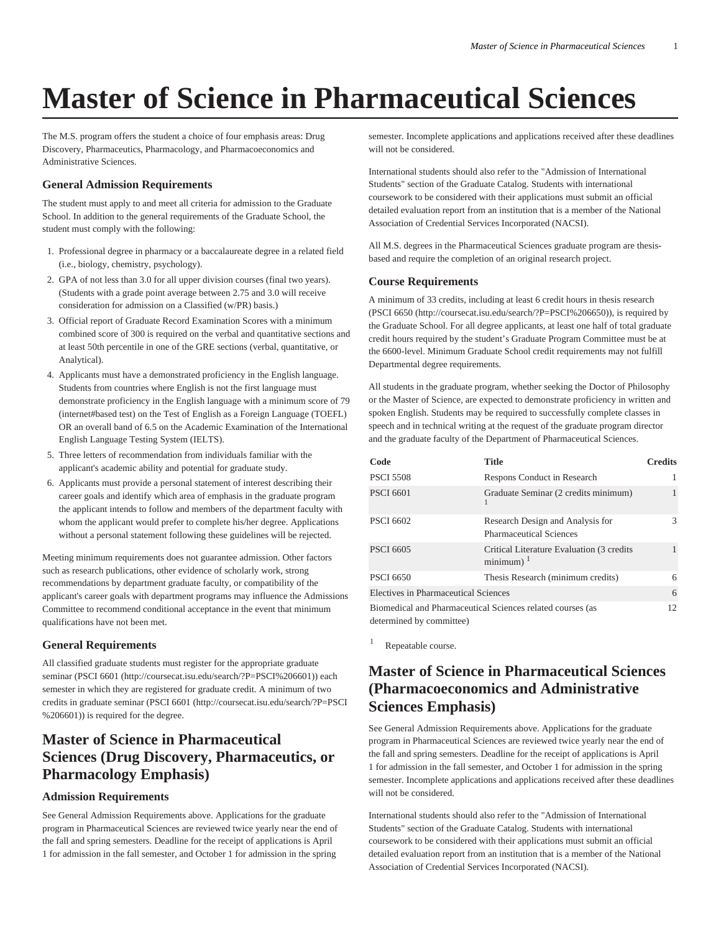# **Master of Science in Pharmaceutical Sciences**

The M.S. program offers the student a choice of four emphasis areas: Drug Discovery, Pharmaceutics, Pharmacology, and Pharmacoeconomics and Administrative Sciences.

#### **General Admission Requirements**

The student must apply to and meet all criteria for admission to the Graduate School. In addition to the general requirements of the Graduate School, the student must comply with the following:

- 1. Professional degree in pharmacy or a baccalaureate degree in a related field (i.e., biology, chemistry, psychology).
- 2. GPA of not less than 3.0 for all upper division courses (final two years). (Students with a grade point average between 2.75 and 3.0 will receive consideration for admission on a Classified (w/PR) basis.)
- 3. Official report of Graduate Record Examination Scores with a minimum combined score of 300 is required on the verbal and quantitative sections and at least 50th percentile in one of the GRE sections (verbal, quantitative, or Analytical).
- 4. Applicants must have a demonstrated proficiency in the English language. Students from countries where English is not the first language must demonstrate proficiency in the English language with a minimum score of 79 (internet#based test) on the Test of English as a Foreign Language (TOEFL) OR an overall band of 6.5 on the Academic Examination of the International English Language Testing System (IELTS).
- 5. Three letters of recommendation from individuals familiar with the applicant's academic ability and potential for graduate study.
- 6. Applicants must provide a personal statement of interest describing their career goals and identify which area of emphasis in the graduate program the applicant intends to follow and members of the department faculty with whom the applicant would prefer to complete his/her degree. Applications without a personal statement following these guidelines will be rejected.

Meeting minimum requirements does not guarantee admission. Other factors such as research publications, other evidence of scholarly work, strong recommendations by department graduate faculty, or compatibility of the applicant's career goals with department programs may influence the Admissions Committee to recommend conditional acceptance in the event that minimum qualifications have not been met.

#### **General Requirements**

All classified graduate students must register for the appropriate graduate seminar ([PSCI 6601](http://coursecat.isu.edu/search/?P=PSCI%206601) ([http://coursecat.isu.edu/search/?P=PSCI%206601\)](http://coursecat.isu.edu/search/?P=PSCI%206601)) each semester in which they are registered for graduate credit. A minimum of two credits in graduate seminar [\(PSCI 6601](http://coursecat.isu.edu/search/?P=PSCI%206601) ([http://coursecat.isu.edu/search/?P=PSCI](http://coursecat.isu.edu/search/?P=PSCI%206601) [%206601\)](http://coursecat.isu.edu/search/?P=PSCI%206601)) is required for the degree.

## **Master of Science in Pharmaceutical Sciences (Drug Discovery, Pharmaceutics, or Pharmacology Emphasis)**

#### **Admission Requirements**

See General Admission Requirements above. Applications for the graduate program in Pharmaceutical Sciences are reviewed twice yearly near the end of the fall and spring semesters. Deadline for the receipt of applications is April 1 for admission in the fall semester, and October 1 for admission in the spring

semester. Incomplete applications and applications received after these deadlines will not be considered.

International students should also refer to the "Admission of International Students" section of the Graduate Catalog. Students with international coursework to be considered with their applications must submit an official detailed evaluation report from an institution that is a member of the National Association of Credential Services Incorporated (NACSI).

All M.S. degrees in the Pharmaceutical Sciences graduate program are thesisbased and require the completion of an original research project.

#### **Course Requirements**

A minimum of 33 credits, including at least 6 credit hours in thesis research ([PSCI 6650 \(http://coursecat.isu.edu/search/?P=PSCI%206650\)](http://coursecat.isu.edu/search/?P=PSCI%206650)), is required by the Graduate School. For all degree applicants, at least one half of total graduate credit hours required by the student's Graduate Program Committee must be at the 6600-level. Minimum Graduate School credit requirements may not fulfill Departmental degree requirements.

All students in the graduate program, whether seeking the Doctor of Philosophy or the Master of Science, are expected to demonstrate proficiency in written and spoken English. Students may be required to successfully complete classes in speech and in technical writing at the request of the graduate program director and the graduate faculty of the Department of Pharmaceutical Sciences.

| Code                                                                                   | <b>Title</b>                                                         | <b>Credits</b> |
|----------------------------------------------------------------------------------------|----------------------------------------------------------------------|----------------|
| <b>PSCI 5508</b>                                                                       | Respons Conduct in Research                                          |                |
| <b>PSCI 6601</b>                                                                       | Graduate Seminar (2 credits minimum)                                 |                |
| <b>PSCI 6602</b>                                                                       | Research Design and Analysis for<br><b>Pharmaceutical Sciences</b>   | 3              |
| <b>PSCI 6605</b>                                                                       | Critical Literature Evaluation (3 credits)<br>$minimum$ <sup>1</sup> |                |
| <b>PSCI 6650</b>                                                                       | Thesis Research (minimum credits)                                    | 6              |
| Electives in Pharmaceutical Sciences                                                   |                                                                      | 6              |
| Biomedical and Pharmaceutical Sciences related courses (as<br>determined by committee) |                                                                      |                |

1 Repeatable course.

## **Master of Science in Pharmaceutical Sciences (Pharmacoeconomics and Administrative Sciences Emphasis)**

See General Admission Requirements above. Applications for the graduate program in Pharmaceutical Sciences are reviewed twice yearly near the end of the fall and spring semesters. Deadline for the receipt of applications is April 1 for admission in the fall semester, and October 1 for admission in the spring semester. Incomplete applications and applications received after these deadlines will not be considered.

International students should also refer to the "Admission of International Students" section of the Graduate Catalog. Students with international coursework to be considered with their applications must submit an official detailed evaluation report from an institution that is a member of the National Association of Credential Services Incorporated (NACSI).